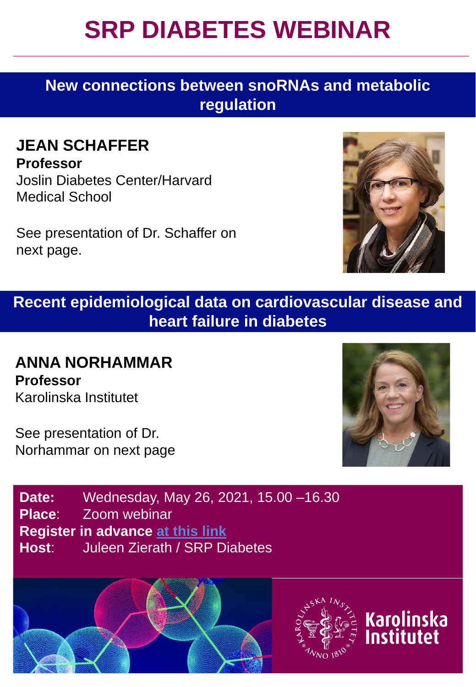## **SRP DIABETES WEBINAR**

**New connections between snoRNAs and metabolic regulation**

### **JEAN SCHAFFER**

**Professor** Joslin Diabetes Center/Harvard Medical School

See presentation of Dr. Schaffer on next page.



**Recent epidemiological data on cardiovascular disease and heart failure in diabetes**

### **ANNA NORHAMMAR Professor** Karolinska Institutet

See presentation of Dr. Norhammar on next page



**Karolinska** Institutet

**Date:** Wednesday, May 26, 2021, 15.00 –16.30 **Place**: Zoom webinar **Register in advance [at this link](https://ki-se.zoom.us/webinar/register/WN_zz8NvO0JRxWTwMPwkMYY_Q) Host**: Juleen Zierath / SRP Diabetes